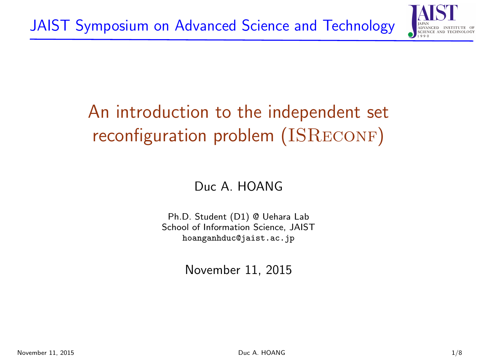

# <span id="page-0-0"></span>An introduction to the independent set reconfiguration problem (ISRECONF)

Duc A. HOANG

Ph.D. Student (D1) @ Uehara Lab School of Information Science, JAIST [hoanganhduc@jaist.ac.jp](mailto:hoanganhduc@jaist.ac.jp)

November 11, 2015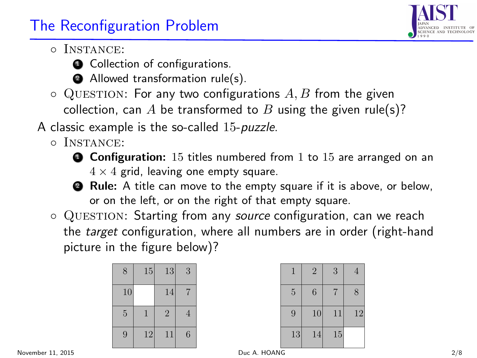### The Reconfiguration Problem

- Instance:
	- **Q** Collection of configurations.
	- **2** Allowed transformation rule(s).
- $\circ$  QUESTION: For any two configurations A, B from the given collection, can A be transformed to B using the given rule(s)?
- A classic example is the so-called 15-puzzle.
	- Instance:
		- $\bullet$  **Configuration:** 15 titles numbered from 1 to 15 are arranged on an  $4 \times 4$  grid, leaving one empty square.
		- **2** Rule: A title can move to the empty square if it is above, or below, or on the left, or on the right of that empty square.
	- QUESTION: Starting from any source configuration, can we reach the target configuration, where all numbers are in order (right-hand picture in the figure below)?

| 8              | $15\,$ | 13             | 3              |
|----------------|--------|----------------|----------------|
| 10             |        | 14             | 7              |
| $\overline{5}$ |        | $\overline{2}$ | $\overline{4}$ |
| 9              | 12     | 11             | 6              |

| 1              | $\overline{2}$ | 3  | $\overline{4}$ |
|----------------|----------------|----|----------------|
| $\overline{5}$ | 6              | 7  | 8              |
| 9              | 10             | 11 | 12             |
| 13             | 14             | 15 |                |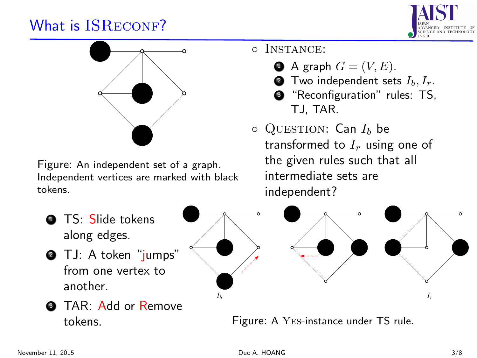#### What is ISRECONF?





Figure: An independent set of a graph. Independent vertices are marked with black tokens.

- **1 TS: Slide tokens** along edges.
- **3** TJ: A token "jumps" from one vertex to another.



◦ Instance:

 $\bullet$  A graph  $G = (V, E)$ . **2** Two independent sets  $I_b, I_r$ . **<sup>3</sup>** "Reconfiguration" rules: TS,

transformed to  $I_r$  using one of the given rules such that all

TJ, TAR.  $\circ$  QUESTION: Can  $I_b$  be



**3** TAR: Add or Remove tokens.

Figure: A Yes-instance under TS rule.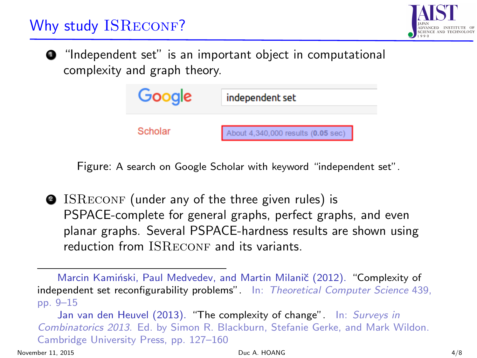# Why study ISRECONF?



**•** "Independent set" is an important object in computational complexity and graph theory.



Figure: A search on Google Scholar with keyword "independent set".

**2** ISRECONF (under any of the three given rules) is PSPACE-complete for general graphs, perfect graphs, and even planar graphs. Several PSPACE-hardness results are shown using reduction from **ISRECONF** and its variants.

Marcin Kamiński, Paul Medvedev, and Martin Milanič (2012). ["Complexity of](http://www.sciencedirect.com/science/article/pii/S0304397512002241) [independent set reconfigurability problems"](http://www.sciencedirect.com/science/article/pii/S0304397512002241). In: Theoretical Computer Science 439, pp. 9–15

Jan van den Heuvel (2013). ["The complexity of change"](http://arxiv.org/abs/1312.2816). In: [Surveys in](http://www.cambridge.org/us/academic/subjects/mathematics/discrete-mathematics-information-theory-and-coding/surveys-combinatorics-2013) [Combinatorics 2013](http://www.cambridge.org/us/academic/subjects/mathematics/discrete-mathematics-information-theory-and-coding/surveys-combinatorics-2013). Ed. by Simon R. Blackburn, Stefanie Gerke, and Mark Wildon. Cambridge University Press, pp. 127–160

November 11, 2015 **Duc A. HOANG Duc A. HOANG COMPUTER A** 4/8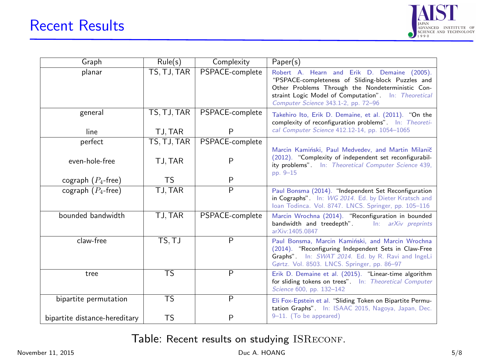

| Graph                         | Rule(s)                  | Complexity              | Paper(s)                                                                                                                                                                                                                                            |  |
|-------------------------------|--------------------------|-------------------------|-----------------------------------------------------------------------------------------------------------------------------------------------------------------------------------------------------------------------------------------------------|--|
| planar                        | TS, TJ, TAR              | PSPACE-complete         | Robert A. Hearn and Erik D. Demaine (2005).<br>"PSPACE-completeness of Sliding-block Puzzles and<br>Other Problems Through the Nondeterministic Con-<br>straint Logic Model of Computation". In: Theoretical<br>Computer Science 343.1-2, pp. 72-96 |  |
| general                       | TS, TJ, TAR              | PSPACE-complete         | Takehiro Ito, Erik D. Demaine, et al. (2011). "On the<br>complexity of reconfiguration problems". In: Theoreti-                                                                                                                                     |  |
| line                          | TJ, TAR                  | P                       | cal Computer Science 412.12-14, pp. 1054-1065                                                                                                                                                                                                       |  |
| perfect                       | TS, TJ, TAR              | PSPACE-complete         |                                                                                                                                                                                                                                                     |  |
| even-hole-free                | TJ, TAR                  | P                       | Marcin Kamiński, Paul Medvedey, and Martin Milanič<br>(2012). "Complexity of independent set reconfigurabil-<br>ity problems". In: Theoretical Computer Science 439,<br>pp. 9-15                                                                    |  |
| cograph $(P_4$ -free)         | <b>TS</b>                | P                       |                                                                                                                                                                                                                                                     |  |
| cograph $(P_4$ -free)         | TJ, TAR                  | $\overline{\mathsf{P}}$ | Paul Bonsma (2014). "Independent Set Reconfiguration<br>in Cographs". In: WG 2014. Ed. by Dieter Kratsch and<br>Ioan Todinca. Vol. 8747. LNCS. Springer, pp. 105-116                                                                                |  |
| bounded bandwidth             | TJ, TAR                  | PSPACE-complete         | Marcin Wrochna (2014). "Reconfiguration in bounded<br>bandwidth and treedepth".<br>In: arXiv preprints<br>arXiv:1405.0847                                                                                                                           |  |
| claw-free                     | TS.TJ                    | P                       | Paul Bonsma, Marcin Kamiński, and Marcin Wrochna<br>(2014). "Reconfiguring Independent Sets in Claw-Free<br>Graphs". In: SWAT 2014. Ed. by R. Ravi and IngeLi<br>Gørtz. Vol. 8503. LNCS. Springer, pp. 86-97                                        |  |
| tree                          | $\overline{\text{TS}}$   | $\overline{P}$          | Erik D. Demaine et al. (2015). "Linear-time algorithm<br>for sliding tokens on trees". In: Theoretical Computer<br>Science 600, pp. 132-142                                                                                                         |  |
| bipartite permutation         | $\overline{\mathsf{TS}}$ | $\overline{P}$          | Eli Fox-Epstein et al. "Sliding Token on Bipartite Permu-                                                                                                                                                                                           |  |
| bipartite distance-hereditary | TS                       | P                       | tation Graphs". In: ISAAC 2015, Nagoya, Japan, Dec.<br>9-11. (To be appeared)                                                                                                                                                                       |  |

Table: Recent results on studying ISRECONF.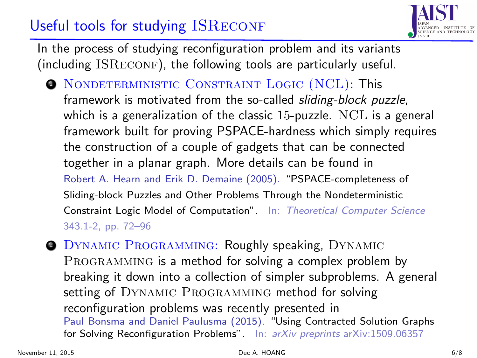### Useful tools for studying ISRECONF



In the process of studying reconfiguration problem and its variants  $(including ISRECONF)$ , the following tools are particularly useful.

- **NONDETERMINISTIC CONSTRAINT LOGIC (NCL): This** framework is motivated from the so-called *sliding-block puzzle*, which is a generalization of the classic 15-puzzle. NCL is a general framework built for proving PSPACE-hardness which simply requires the construction of a couple of gadgets that can be connected together in a planar graph. More details can be found in Robert A. Hearn and Erik D. Demaine (2005). ["PSPACE-completeness of](http://www.sciencedirect.com/science/article/pii/S0304397505003105) [Sliding-block Puzzles and Other Problems Through the Nondeterministic](http://www.sciencedirect.com/science/article/pii/S0304397505003105) [Constraint Logic Model of Computation"](http://www.sciencedirect.com/science/article/pii/S0304397505003105). In: Theoretical Computer Science 343.1-2, pp. 72–96
- **2 DYNAMIC PROGRAMMING: Roughly speaking, DYNAMIC** PROGRAMMING is a method for solving a complex problem by breaking it down into a collection of simpler subproblems. A general setting of DYNAMIC PROGRAMMING method for solving reconfiguration problems was recently presented in Paul Bonsma and Daniel Paulusma (2015). ["Using Contracted Solution Graphs](http://arxiv.org/abs/1509.06357) [for Solving Reconfiguration Problems"](http://arxiv.org/abs/1509.06357). In: arXiv preprints arXiv:1509.06357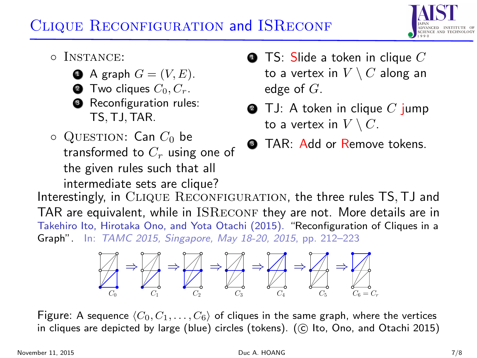# CLIQUE RECONFIGURATION and ISRECONF



- Instance:
	- $\bullet$  A graph  $G = (V, E)$ .
	- **2** Two cliques  $C_0, C_r$ .
	- **3** Reconfiguration rules: TS, TJ, TAR.
- $\circ$  QUESTION: Can  $C_0$  be transformed to  $C_r$  using one of the given rules such that all intermediate sets are clique?
- $\bullet$  TS: Slide a token in clique  $C$ to a vertex in  $V \setminus C$  along an edge of  $G$ .
- $\bullet$  TJ: A token in clique C jump to a vertex in  $V \setminus C$ .
- **3** TAR: Add or Remove tokens.

Interestingly, in CLIQUE RECONFIGURATION, the three rules TS, TJ and TAR are equivalent, while in  $ISRECONF$  they are not. More details are in Takehiro Ito, Hirotaka Ono, and Yota Otachi (2015). ["Reconfiguration of Cliques in a](http://link.springer.com/chapter/10.1007%2F978-3-319-17142-5_19) [Graph"](http://link.springer.com/chapter/10.1007%2F978-3-319-17142-5_19). In: TAMC 2015, Singapore, May 18-20, 2015, pp. 212–223



Figure: A sequence  $\langle C_0, C_1, \ldots, C_6 \rangle$  of cliques in the same graph, where the vertices in cliques are depicted by large (blue) circles (tokens). (© Ito, Ono, and Otachi [2015\)](#page-0-0)